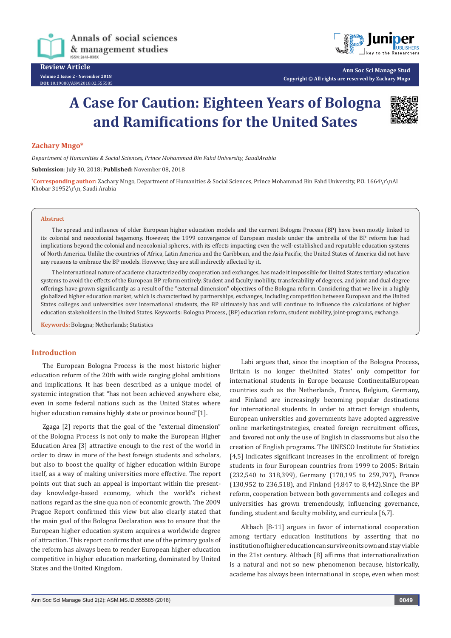

**DOI:** [10.19080/ASM.2018.02.555585](http://dx.doi.org/10.19080/ASM.2018.02.555585
)



**Ann Soc Sci Manage Stud Copyright © All rights are reserved by Zachary Mngo**

# **A Case for Caution: Eighteen Years of Bologna and Ramifications for the United Sates**



## **Zachary Mngo\***

*Department of Humanities & Social Sciences, Prince Mohammad Bin Fahd University, SaudiArabia*

**Submission**: July 30, 2018; **Published:** November 08, 2018

**\* Corresponding author:** Zachary Mngo, Department of Humanities & Social Sciences, Prince Mohammad Bin Fahd University, P.O. 1664\r\nAl Khobar 31952\r\n, Saudi Arabia

#### **Abstract**

The spread and influence of older European higher education models and the current Bologna Process (BP) have been mostly linked to its colonial and neocolonial hegemony. However, the 1999 convergence of European models under the umbrella of the BP reform has had implications beyond the colonial and neocolonial spheres, with its effects impacting even the well-established and reputable education systems of North America. Unlike the countries of Africa, Latin America and the Caribbean, and the Asia Pacific, the United States of America did not have any reasons to embrace the BP models. However, they are still indirectly affected by it.

The international nature of academe characterized by cooperation and exchanges, has made it impossible for United States tertiary education systems to avoid the effects of the European BP reform entirely. Student and faculty mobility, transferability of degrees, and joint and dual degree offerings have grown significantly as a result of the "external dimension" objectives of the Bologna reform. Considering that we live in a highly globalized higher education market, which is characterized by partnerships, exchanges, including competition between European and the United States colleges and universities over international students, the BP ultimately has and will continue to influence the calculations of higher education stakeholders in the United States. Keywords: Bologna Process, (BP) education reform, student mobility, joint-programs, exchange.

**Keywords:** Bologna; Netherlands; Statistics

## **Introduction**

The European Bologna Process is the most historic higher education reform of the 20th with wide ranging global ambitions and implications. It has been described as a unique model of systemic integration that "has not been achieved anywhere else, even in some federal nations such as the United States where higher education remains highly state or province bound"[1].

Zgaga [2] reports that the goal of the "external dimension" of the Bologna Process is not only to make the European Higher Education Area [3] attractive enough to the rest of the world in order to draw in more of the best foreign students and scholars, but also to boost the quality of higher education within Europe itself, as a way of making universities more effective. The report points out that such an appeal is important within the presentday knowledge-based economy, which the world's richest nations regard as the sine qua non of economic growth. The 2009 Prague Report confirmed this view but also clearly stated that the main goal of the Bologna Declaration was to ensure that the European higher education system acquires a worldwide degree of attraction. This report confirms that one of the primary goals of the reform has always been to render European higher education competitive in higher education marketing, dominated by United States and the United Kingdom.

Labi argues that, since the inception of the Bologna Process, Britain is no longer theUnited States' only competitor for international students in Europe because ContinentalEuropean countries such as the Netherlands, France, Belgium, Germany, and Finland are increasingly becoming popular destinations for international students. In order to attract foreign students, European universities and governments have adopted aggressive online marketingstrategies, created foreign recruitment offices, and favored not only the use of English in classrooms but also the creation of English programs. The UNESCO Institute for Statistics [4,5] indicates significant increases in the enrollment of foreign students in four European countries from 1999 to 2005: Britain (232,540 to 318,399), Germany (178,195 to 259,797), France (130,952 to 236,518), and Finland (4,847 to 8,442).Since the BP reform, cooperation between both governments and colleges and universities has grown tremendously, influencing governance, funding, student and faculty mobility, and curricula [6,7].

Altbach [8-11] argues in favor of international cooperation among tertiary education institutions by asserting that no institution of higher education can survive on its own and stay viable in the 21st century. Altbach [8] affirms that internationalization is a natural and not so new phenomenon because, historically, academe has always been international in scope, even when most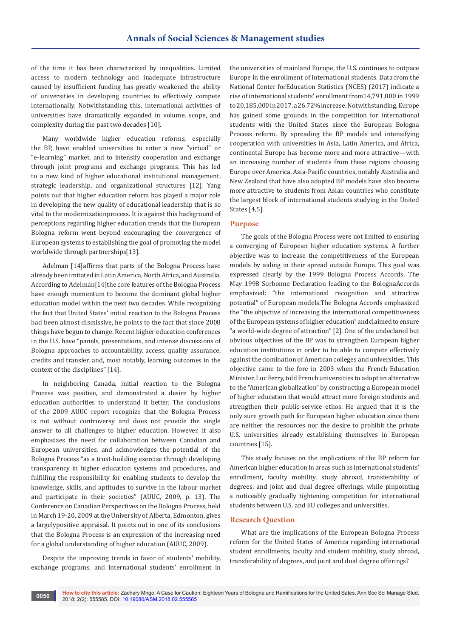of the time it has been characterized by inequalities. Limited access to modern technology and inadequate infrastructure caused by insufficient funding has greatly weakened the ability of universities in developing countries to effectively compete internationally. Notwithstanding this, international activities of universities have dramatically expanded in volume, scope, and complexity during the past two decades [10].

Many worldwide higher education reforms, especially the BP, have enabled universities to enter a new "virtual" or "e-learning" market, and to intensify cooperation and exchange through joint programs and exchange programs. This has led to a new kind of higher educational institutional management, strategic leadership, and organizational structures [12]. Yang points out that higher education reform has played a major role in developing the new quality of educational leadership that is so vital to the modernizationprocess. It is against this background of perceptions regarding higher education trends that the European Bologna reform went beyond encouraging the convergence of European systems to establishing the goal of promoting the model worldwide through partnerships[13].

Adelman [14]affirms that parts of the Bologna Process have already been imitated in Latin America, North Africa, and Australia. According to Adelman[14]the core features of the Bologna Process have enough momentum to become the dominant global higher education model within the next two decades. While recognizing the fact that United States' initial reaction to the Bologna Process had been almost dismissive, he points to the fact that since 2008 things have begun to change. Recent higher education conferences in the U.S. have "panels, presentations, and intense discussions of Bologna approaches to accountability, access, quality assurance, credits and transfer, and, most notably, learning outcomes in the context of the disciplines" [14].

In neighboring Canada, initial reaction to the Bologna Process was positive, and demonstrated a desire by higher education authorities to understand it better. The conclusions of the 2009 AUUC report recognize that the Bologna Process is not without controversy and does not provide the single answer to all challenges to higher education. However, it also emphasizes the need for collaboration between Canadian and European universities, and acknowledges the potential of the Bologna Process "as a trust-building exercise through developing transparency in higher education systems and procedures, and fulfilling the responsibility for enabling students to develop the knowledge, skills, and aptitudes to survive in the labour market and participate in their societies" (AUUC, 2009, p. 13). The Conference on Canadian Perspectives on the Bologna Process, held in March 19-20, 2009 at the University of Alberta, Edmonton, gives a largelypositive appraisal. It points out in one of its conclusions that the Bologna Process is an expression of the increasing need for a global understanding of higher education (AUUC, 2009).

Despite the improving trends in favor of students' mobility, exchange programs, and international students' enrollment in

the universities of mainland Europe, the U.S. continues to outpace Europe in the enrollment of international students. Data from the National Center forEducation Statistics (NCES) (2017) indicate a rise of international students' enrollment from14,791,000 in 1999 to 20,185,000 in 2017, a 26.72% increase. Notwithstanding, Europe has gained some grounds in the competition for international students with the United States since the European Bologna Process reform. By spreading the BP models and intensifying cooperation with universities in Asia, Latin America, and Africa, continental Europe has become more and more attractive—with an increasing number of students from these regions choosing Europe over America. Asia-Pacific countries, notably Australia and New Zealand that have also adopted BP models have also become more attractive to students from Asian countries who constitute the largest block of international students studying in the United States [4,5].

## **Purpose**

The goals of the Bologna Process were not limited to ensuring a converging of European higher education systems. A further objective was to increase the competitiveness of the European models by aiding in their spread outside Europe. This goal was expressed clearly by the 1999 Bologna Process Accords. The May 1998 Sorbonne Declaration leading to the BolognaAccords emphasized: "the international recognition and attractive potential" of European models.The Bologna Accords emphasized the "the objective of increasing the international competitiveness of the European systems of higher education" and claimed to ensure "a world-wide degree of attraction" [2]. One of the undeclared but obvious objectives of the BP was to strengthen European higher education institutions in order to be able to compete effectively against the domination of American colleges and universities. This objective came to the fore in 2003 when the French Education Minister, Luc Ferry, told French universities to adopt an alternative to the "American globalization" by constructing a European model of higher education that would attract more foreign students and strengthen their public-service ethos. He argued that it is the only sure growth path for European higher education since there are neither the resources nor the desire to prohibit the private U.S. universities already establishing themselves in European countries [15].

This study focuses on the implications of the BP reform for American higher education in areas such as international students' enrollment, faculty mobility, study abroad, transferability of degrees, and joint and dual degree offerings, while pinpointing a noticeably gradually tightening competition for international students between U.S. and EU colleges and universities.

## **Research Question**

What are the implications of the European Bologna Process reform for the United States of America regarding international student enrollments, faculty and student mobility, study abroad, transferability of degrees, and joint and dual degree offerings?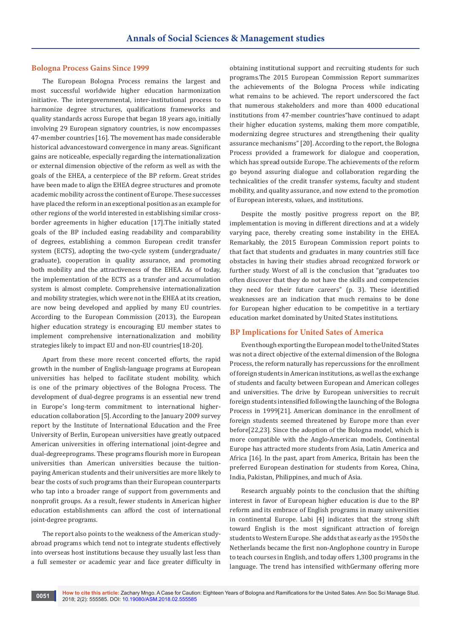### **Bologna Process Gains Since 1999**

The European Bologna Process remains the largest and most successful worldwide higher education harmonization initiative. The intergovernmental, inter-institutional process to harmonize degree structures, qualifications frameworks and quality standards across Europe that began 18 years ago, initially involving 29 European signatory countries, is now encompasses 47-member countries [16]. The movement has made considerable historical advancestoward convergence in many areas. Significant gains are noticeable, especially regarding the internationalization or external dimension objective of the reform as well as with the goals of the EHEA, a centerpiece of the BP reform. Great strides have been made to align the EHEA degree structures and promote academic mobility across the continent of Europe. These successes have placed the reform in an exceptional position as an example for other regions of the world interested in establishing similar crossborder agreements in higher education [17].The initially stated goals of the BP included easing readability and comparability of degrees, establishing a common European credit transfer system (ECTS), adopting the two-cycle system (undergraduate/ graduate), cooperation in quality assurance, and promoting both mobility and the attractiveness of the EHEA. As of today, the implementation of the ECTS as a transfer and accumulation system is almost complete. Comprehensive internationalization and mobility strategies, which were not in the EHEA at its creation, are now being developed and applied by many EU countries. According to the European Commission (2013), the European higher education strategy is encouraging EU member states to implement comprehensive internationalization and mobility strategies likely to impact EU and non-EU countries[18-20].

Apart from these more recent concerted efforts, the rapid growth in the number of English-language programs at European universities has helped to facilitate student mobility, which is one of the primary objectives of the Bologna Process. The development of dual-degree programs is an essential new trend in Europe's long-term commitment to international highereducation collaboration [5]. According to the January 2009 survey report by the Institute of International Education and the Free University of Berlin, European universities have greatly outpaced American universities in offering international joint-degree and dual-degreeprograms. These programs flourish more in European universities than American universities because the tuitionpaying American students and their universities are more likely to bear the costs of such programs than their European counterparts who tap into a broader range of support from governments and nonprofit groups. As a result, fewer students in American higher education establishments can afford the cost of international joint-degree programs.

The report also points to the weakness of the American studyabroad programs which tend not to integrate students effectively into overseas host institutions because they usually last less than a full semester or academic year and face greater difficulty in

obtaining institutional support and recruiting students for such programs.The 2015 European Commission Report summarizes the achievements of the Bologna Process while indicating what remains to be achieved. The report underscored the fact that numerous stakeholders and more than 4000 educational institutions from 47-member countries"have continued to adapt their higher education systems, making them more compatible, modernizing degree structures and strengthening their quality assurance mechanisms" [20]. According to the report, the Bologna Process provided a framework for dialogue and cooperation, which has spread outside Europe. The achievements of the reform go beyond assuring dialogue and collaboration regarding the technicalities of the credit transfer systems, faculty and student mobility, and quality assurance, and now extend to the promotion of European interests, values, and institutions.

Despite the mostly positive progress report on the BP, implementation is moving in different directions and at a widely varying pace, thereby creating some instability in the EHEA. Remarkably, the 2015 European Commission report points to that fact that students and graduates in many countries still face obstacles in having their studies abroad recognized forwork or further study. Worst of all is the conclusion that "graduates too often discover that they do not have the skills and competencies they need for their future careers" (p. 3). These identified weaknesses are an indication that much remains to be done for European higher education to be competitive in a tertiary education market dominated by United States institutions.

## **BP Implications for United Sates of America**

Even though exporting the European model to the United States was not a direct objective of the external dimension of the Bologna Process, the reform naturally has repercussions for the enrollment of foreign students in American institutions, as well as the exchange of students and faculty between European and American colleges and universities. The drive by European universities to recruit foreign students intensified following the launching of the Bologna Process in 1999[21]. American dominance in the enrollment of foreign students seemed threatened by Europe more than ever before[22,23]. Since the adoption of the Bologna model, which is more compatible with the Anglo-American models, Continental Europe has attracted more students from Asia, Latin America and Africa [16]. In the past, apart from America, Britain has been the preferred European destination for students from Korea, China, India, Pakistan, Philippines, and much of Asia.

Research arguably points to the conclusion that the shifting interest in favor of European higher education is due to the BP reform and its embrace of English programs in many universities in continental Europe. Labi [4] indicates that the strong shift toward English is the most significant attraction of foreign students to Western Europe. She adds that as early as the 1950s the Netherlands became the first non-Anglophone country in Europe to teach courses in English, and today offers 1,300 programs in the language. The trend has intensified withGermany offering more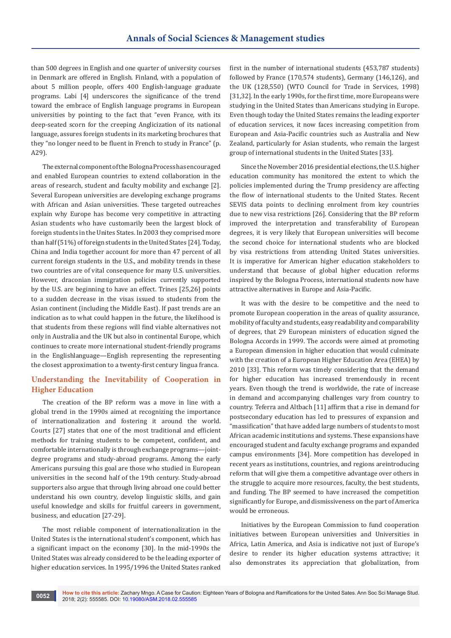than 500 degrees in English and one quarter of university courses in Denmark are offered in English. Finland, with a population of about 5 million people, offers 400 English-language graduate programs. Labi [4] underscores the significance of the trend toward the embrace of English language programs in European universities by pointing to the fact that "even France, with its deep-seated scorn for the creeping Anglicization of its national language, assures foreign students in its marketing brochures that they "no longer need to be fluent in French to study in France" (p. A29).

The external component of the Bologna Process has encouraged and enabled European countries to extend collaboration in the areas of research, student and faculty mobility and exchange [2]. Several European universities are developing exchange programs with African and Asian universities. These targeted outreaches explain why Europe has become very competitive in attracting Asian students who have customarily been the largest block of foreign students in the Unites States. In 2003 they comprised more than half (51%) of foreign students in the United States [24]. Today, China and India together account for more than 47 percent of all current foreign students in the U.S., and mobility trends in these two countries are of vital consequence for many U.S. universities. However, draconian immigration policies currently supported by the U.S. are beginning to have an effect. Trines [25,26] points to a sudden decrease in the visas issued to students from the Asian continent (including the Middle East). If past trends are an indication as to what could happen in the future, the likelihood is that students from these regions will find viable alternatives not only in Australia and the UK but also in continental Europe, which continues to create more international student-friendly programs in the Englishlanguage—English representing the representing the closest approximation to a twenty-first century lingua franca.

## **Understanding the Inevitability of Cooperation in Higher Education**

The creation of the BP reform was a move in line with a global trend in the 1990s aimed at recognizing the importance of internationalization and fostering it around the world. Courts [27] states that one of the most traditional and efficient methods for training students to be competent, confident, and comfortable internationally is through exchange programs—jointdegree programs and study-abroad programs. Among the early Americans pursuing this goal are those who studied in European universities in the second half of the 19th century. Study-abroad supporters also argue that through living abroad one could better understand his own country, develop linguistic skills, and gain useful knowledge and skills for fruitful careers in government, business, and education [27-29].

The most reliable component of internationalization in the United States is the international student's component, which has a significant impact on the economy [30]. In the mid-1990s the United States was already considered to be the leading exporter of higher education services. In 1995/1996 the United States ranked

first in the number of international students (453,787 students) followed by France (170,574 students), Germany (146,126), and the UK (128,550) (WTO Council for Trade in Services, 1998) [31,32]. In the early 1990s, for the first time, more Europeans were studying in the United States than Americans studying in Europe. Even though today the United States remains the leading exporter of education services, it now faces increasing competition from European and Asia-Pacific countries such as Australia and New Zealand, particularly for Asian students, who remain the largest group of international students in the United States [33].

Since the November 2016 presidential elections, the U.S. higher education community has monitored the extent to which the policies implemented during the Trump presidency are affecting the flow of international students to the United States. Recent SEVIS data points to declining enrolment from key countries due to new visa restrictions [26]. Considering that the BP reform improved the interpretation and transferability of European degrees, it is very likely that European universities will become the second choice for international students who are blocked by visa restrictions from attending United States universities. It is imperative for American higher education stakeholders to understand that because of global higher education reforms inspired by the Bologna Process, international students now have attractive alternatives in Europe and Asia-Pacific.

It was with the desire to be competitive and the need to promote European cooperation in the areas of quality assurance, mobility of faculty and students, easy readability and comparability of degrees, that 29 European ministers of education signed the Bologna Accords in 1999. The accords were aimed at promoting a European dimension in higher education that would culminate with the creation of a European Higher Education Area (EHEA) by 2010 [33]. This reform was timely considering that the demand for higher education has increased tremendously in recent years. Even though the trend is worldwide, the rate of increase in demand and accompanying challenges vary from country to country. Teferra and Altbach [11] affirm that a rise in demand for postsecondary education has led to pressures of expansion and "massification" that have added large numbers of students to most African academic institutions and systems. These expansions have encouraged student and faculty exchange programs and expanded campus environments [34]. More competition has developed in recent years as institutions, countries, and regions areintroducing reform that will give them a competitive advantage over others in the struggle to acquire more resources, faculty, the best students, and funding. The BP seemed to have increased the competition significantly for Europe, and dismissiveness on the part of America would be erroneous.

Initiatives by the European Commission to fund cooperation initiatives between European universities and Universities in Africa, Latin America, and Asia is indicative not just of Europe's desire to render its higher education systems attractive; it also demonstrates its appreciation that globalization, from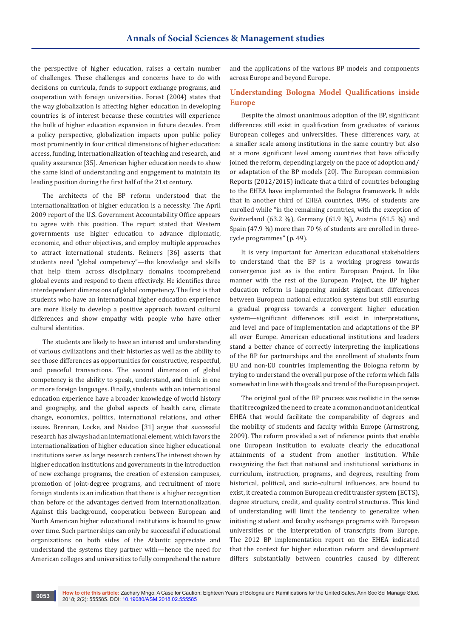the perspective of higher education, raises a certain number of challenges. These challenges and concerns have to do with decisions on curricula, funds to support exchange programs, and cooperation with foreign universities. Forest (2004) states that the way globalization is affecting higher education in developing countries is of interest because these countries will experience the bulk of higher education expansion in future decades. From a policy perspective, globalization impacts upon public policy most prominently in four critical dimensions of higher education: access, funding, internationalization of teaching and research, and quality assurance [35]. American higher education needs to show the same kind of understanding and engagement to maintain its leading position during the first half of the 21st century.

The architects of the BP reform understood that the internationalization of higher education is a necessity. The April 2009 report of the U.S. Government Accountability Office appears to agree with this position. The report stated that Western governments use higher education to advance diplomatic, economic, and other objectives, and employ multiple approaches to attract international students. Reimers [36] asserts that students need "global competency"—the knowledge and skills that help them across disciplinary domains tocomprehend global events and respond to them effectively. He identifies three interdependent dimensions of global competency. The first is that students who have an international higher education experience are more likely to develop a positive approach toward cultural differences and show empathy with people who have other cultural identities.

The students are likely to have an interest and understanding of various civilizations and their histories as well as the ability to see those differences as opportunities for constructive, respectful, and peaceful transactions. The second dimension of global competency is the ability to speak, understand, and think in one or more foreign languages. Finally, students with an international education experience have a broader knowledge of world history and geography, and the global aspects of health care, climate change, economics, politics, international relations, and other issues. Brennan, Locke, and Naidoo [31] argue that successful research has always had an international element, which favors the internationalization of higher education since higher educational institutions serve as large research centers.The interest shown by higher education institutions and governments in the introduction of new exchange programs, the creation of extension campuses, promotion of joint-degree programs, and recruitment of more foreign students is an indication that there is a higher recognition than before of the advantages derived from internationalization. Against this background, cooperation between European and North American higher educational institutions is bound to grow over time. Such partnerships can only be successful if educational organizations on both sides of the Atlantic appreciate and understand the systems they partner with—hence the need for American colleges and universities to fully comprehend the nature

and the applications of the various BP models and components across Europe and beyond Europe.

# **Understanding Bologna Model Qualifications inside Europe**

Despite the almost unanimous adoption of the BP, significant differences still exist in qualification from graduates of various European colleges and universities. These differences vary, at a smaller scale among institutions in the same country but also at a more significant level among countries that have officially joined the reform, depending largely on the pace of adoption and/ or adaptation of the BP models [20]. The European commission Reports (2012/2015) indicate that a third of countries belonging to the EHEA have implemented the Bologna framework. It adds that in another third of EHEA countries, 89% of students are enrolled while "in the remaining countries, with the exception of Switzerland (63.2 %), Germany (61.9 %), Austria (61.5 %) and Spain (47.9 %) more than 70 % of students are enrolled in threecycle programmes" (p. 49).

It is very important for American educational stakeholders to understand that the BP is a working progress towards convergence just as is the entire European Project. In like manner with the rest of the European Project, the BP higher education reform is happening amidst significant differences between European national education systems but still ensuring a gradual progress towards a convergent higher education system—significant differences still exist in interpretations, and level and pace of implementation and adaptations of the BP all over Europe. American educational institutions and leaders stand a better chance of correctly interpreting the implications of the BP for partnerships and the enrollment of students from EU and non-EU countries implementing the Bologna reform by trying to understand the overall purpose of the reform which falls somewhat in line with the goals and trend of the European project.

The original goal of the BP process was realistic in the sense that it recognized the need to create a common and not an identical EHEA that would facilitate the comparability of degrees and the mobility of students and faculty within Europe (Armstrong, 2009). The reform provided a set of reference points that enable one European institution to evaluate clearly the educational attainments of a student from another institution. While recognizing the fact that national and institutional variations in curriculum, instruction, programs, and degrees, resulting from historical, political, and socio-cultural influences, are bound to exist, it created a common European credit transfer system (ECTS), degree structure, credit, and quality control structures. This kind of understanding will limit the tendency to generalize when initiating student and faculty exchange programs with European universities or the interpretation of transcripts from Europe. The 2012 BP implementation report on the EHEA indicated that the context for higher education reform and development differs substantially between countries caused by different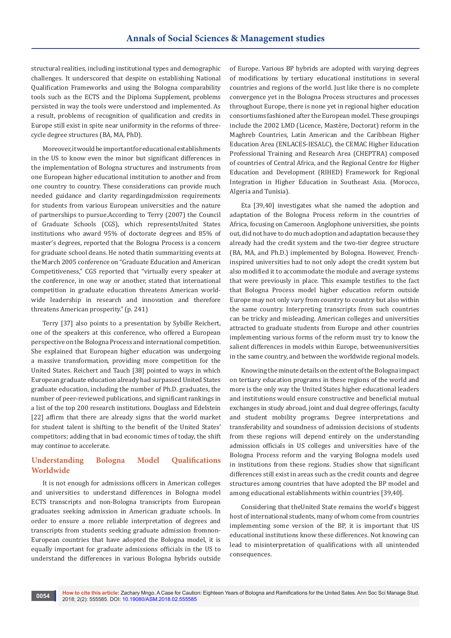structural realities, including institutional types and demographic challenges. It underscored that despite on establishing National Qualification Frameworks and using the Bologna comparability tools such as the ECTS and the Diploma Supplement, problems persisted in way the tools were understood and implemented. As a result, problems of recognition of qualification and credits in Europe still exist in spite near uniformity in the reforms of threecycle degree structures (BA, MA, PhD).

Moreover, it would be important for educational establishments in the US to know even the minor but significant differences in the implementation of Bologna structures and instruments from one European higher educational institution to another and from one country to country. These considerations can provide much needed guidance and clarity regardingadmission requirements for students from various European universities and the nature of partnerships to pursue.According to Terry (2007) the Council of Graduate Schools (CGS), which representsUnited States institutions who award 95% of doctorate degrees and 85% of master's degrees, reported that the Bologna Process is a concern for graduate school deans. He noted thatin summarizing events at the March 2005 conference on "Graduate Education and American Competitiveness," CGS reported that "virtually every speaker at the conference, in one way or another, stated that international competition in graduate education threatens American worldwide leadership in research and innovation and therefore threatens American prosperity." (p. 241)

Terry [37] also points to a presentation by Sybille Reichert, one of the speakers at this conference, who offered a European perspective on the Bologna Process and international competition. She explained that European higher education was undergoing a massive transformation, providing more competition for the United States. Reichert and Tauch [38] pointed to ways in which European graduate education already had surpassed United States graduate education, including the number of Ph.D. graduates, the number of peer-reviewed publications, and significant rankings in a list of the top 200 research institutions. Douglass and Edelstein [22] affirm that there are already signs that the world market for student talent is shifting to the benefit of the United States' competitors; adding that in bad economic times of today, the shift may continue to accelerate.

# **Understanding Bologna Model Qualifications Worldwide**

It is not enough for admissions officers in American colleges and universities to understand differences in Bologna model ECTS transcripts and non-Bologna transcripts from European graduates seeking admission in American graduate schools. In order to ensure a more reliable interpretation of degrees and transcripts from students seeking graduate admission fromnon-European countries that have adopted the Bologna model, it is equally important for graduate admissions officials in the US to understand the differences in various Bologna hybrids outside

of Europe. Various BP hybrids are adopted with varying degrees of modifications by tertiary educational institutions in several countries and regions of the world. Just like there is no complete convergence yet in the Bologna Process structures and processes throughout Europe, there is none yet in regional higher education consortiums fashioned after the European model. These groupings include the 2002 LMD (Licence, Mastère, Doctorat) reform in the Maghreb Countries, Latin American and the Caribbean Higher Education Area (ENLACES-IESALC), the CEMAC Higher Education Professional Training and Research Area (CHEPTRA) composed of countries of Central Africa, and the Regional Centre for Higher Education and Development (RIHED) Framework for Regional Integration in Higher Education in Southeast Asia. (Morocco, Algeria and Tunisia).

Eta [39,40] investigates what she named the adoption and adaptation of the Bologna Process reform in the countries of Africa, focusing on Cameroon. Anglophone universities, she points out, did not have to do much adoption and adaptation because they already had the credit system and the two-tier degree structure (BA, MA, and Ph.D.) implemented by Bologna. However, Frenchinspired universities had to not only adopt the credit system but also modified it to accommodate the module and average systems that were previously in place. This example testifies to the fact that Bologna Process model higher education reform outside Europe may not only vary from country to country but also within the same country. Interpreting transcripts from such countries can be tricky and misleading. American colleges and universities attracted to graduate students from Europe and other countries implementing various forms of the reform must try to know the salient differences in models within Europe, betweenuniversities in the same country, and between the worldwide regional models.

Knowing the minute details on the extent of the Bologna impact on tertiary education programs in these regions of the world and more is the only way the United States higher educational leaders and institutions would ensure constructive and beneficial mutual exchanges in study abroad, joint and dual degree offerings, faculty and student mobility programs. Degree interpretations and transferability and soundness of admission decisions of students from these regions will depend entirely on the understanding admission officials in US colleges and universities have of the Bologna Process reform and the varying Bologna models used in institutions from these regions. Studies show that significant differences still exist in areas such as the credit counts and degree structures among countries that have adopted the BP model and among educational establishments within countries [39,40].

Considering that theUnited State remains the world's biggest host of international students, many of whom come from countries implementing some version of the BP, it is important that US educational institutions know these differences. Not knowing can lead to misinterpretation of qualifications with all unintended consequences.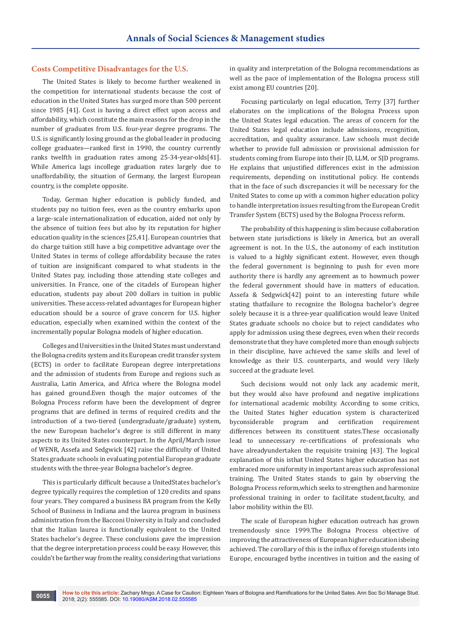## **Costs Competitive Disadvantages for the U.S.**

The United States is likely to become further weakened in the competition for international students because the cost of education in the United States has surged more than 500 percent since 1985 [41]. Cost is having a direct effect upon access and affordability, which constitute the main reasons for the drop in the number of graduates from U.S. four-year degree programs. The U.S. is significantly losing ground as the global leader in producing college graduates—ranked first in 1990, the country currently ranks twelfth in graduation rates among 25-34-year-olds[41]. While America lags incollege graduation rates largely due to unaffordability, the situation of Germany, the largest European country, is the complete opposite.

Today, German higher education is publicly funded, and students pay no tuition fees, even as the country embarks upon a large-scale internationalization of education, aided not only by the absence of tuition fees but also by its reputation for higher education quality in the sciences [25,41]. European countries that do charge tuition still have a big competitive advantage over the United States in terms of college affordability because the rates of tuition are insignificant compared to what students in the United States pay, including those attending state colleges and universities. In France, one of the citadels of European higher education, students pay about 200 dollars in tuition in public universities. These access-related advantages for European higher education should be a source of grave concern for U.S. higher education, especially when examined within the context of the incrementally popular Bologna models of higher education.

Colleges and Universities in the United States must understand the Bologna credits system and its European credit transfer system (ECTS) in order to facilitate European degree interpretations and the admission of students from Europe and regions such as Australia, Latin America, and Africa where the Bologna model has gained ground.Even though the major outcomes of the Bologna Process reform have been the development of degree programs that are defined in terms of required credits and the introduction of a two-tiered (undergraduate/graduate) system, the new European bachelor's degree is still different in many aspects to its United States counterpart. In the April/March issue of WENR, Assefa and Sedgwick [42] raise the difficulty of United States graduate schools in evaluating potential European graduate students with the three-year Bologna bachelor's degree.

This is particularly difficult because a UnitedStates bachelor's degree typically requires the completion of 120 credits and spans four years. They compared a business BA program from the Kelly School of Business in Indiana and the laurea program in business administration from the Bacconi University in Italy and concluded that the Italian laurea is functionally equivalent to the United States bachelor's degree. These conclusions gave the impression that the degree interpretation process could be easy. However, this couldn't be farther way from the reality, considering that variations

in quality and interpretation of the Bologna recommendations as well as the pace of implementation of the Bologna process still exist among EU countries [20].

Focusing particularly on legal education, Terry [37] further elaborates on the implications of the Bologna Process upon the United States legal education. The areas of concern for the United States legal education include admissions, recognition, accreditation, and quality assurance. Law schools must decide whether to provide full admission or provisional admission for students coming from Europe into their JD, LLM, or SJD programs. He explains that unjustified differences exist in the admission requirements, depending on institutional policy. He contends that in the face of such discrepancies it will be necessary for the United States to come up with a common higher education policy to handle interpretation issues resulting from the European Credit Transfer System (ECTS) used by the Bologna Process reform.

The probability of this happening is slim because collaboration between state jurisdictions is likely in America, but an overall agreement is not. In the U.S., the autonomy of each institution is valued to a highly significant extent. However, even though the federal government is beginning to push for even more authority there is hardly any agreement as to howmuch power the federal government should have in matters of education. Assefa & Sedgwick[42] point to an interesting future while stating thatfailure to recognize the Bologna bachelor's degree solely because it is a three-year qualification would leave United States graduate schools no choice but to reject candidates who apply for admission using these degrees, even when their records demonstrate that they have completed more than enough subjects in their discipline, have achieved the same skills and level of knowledge as their U.S. counterparts, and would very likely succeed at the graduate level.

Such decisions would not only lack any academic merit, but they would also have profound and negative implications for international academic mobility. According to some critics, the United States higher education system is characterized byconsiderable program and certification requirement differences between its constituent states.These occasionally lead to unnecessary re-certifications of professionals who have alreadyundertaken the requisite training [43]. The logical explanation of this isthat United States higher education has not embraced more uniformity in important areas such asprofessional training. The United States stands to gain by observing the Bologna Process reform,which seeks to strengthen and harmonize professional training in order to facilitate student,faculty, and labor mobility within the EU.

The scale of European higher education outreach has grown tremendously since 1999.The Bologna Process objective of improving the attractiveness of European higher education isbeing achieved. The corollary of this is the influx of foreign students into Europe, encouraged bythe incentives in tuition and the easing of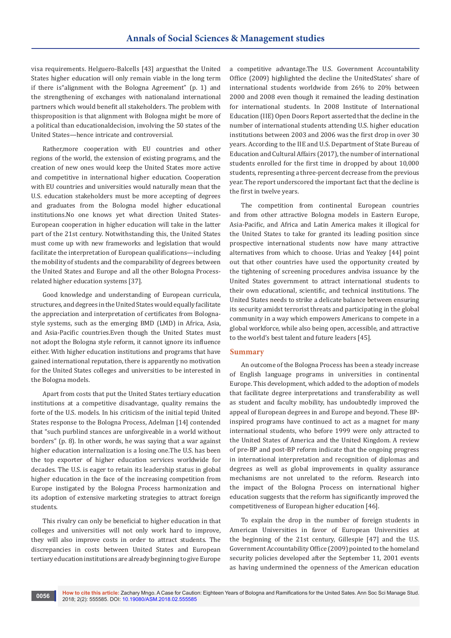visa requirements. Helguero-Balcells [43] arguesthat the United States higher education will only remain viable in the long term if there is"alignment with the Bologna Agreement" (p. 1) and the strengthening of exchanges with nationaland international partners which would benefit all stakeholders. The problem with thisproposition is that alignment with Bologna might be more of a political than educationaldecision, involving the 50 states of the United States—hence intricate and controversial.

Rather,more cooperation with EU countries and other regions of the world, the extension of existing programs, and the creation of new ones would keep the United States more active and competitive in international higher education. Cooperation with EU countries and universities would naturally mean that the U.S. education stakeholders must be more accepting of degrees and graduates from the Bologna model higher educational institutions.No one knows yet what direction United States-European cooperation in higher education will take in the latter part of the 21st century. Notwithstanding this, the United States must come up with new frameworks and legislation that would facilitate the interpretation of European qualifications—including the mobility of students and the comparability of degrees between the United States and Europe and all the other Bologna Processrelated higher education systems [37].

Good knowledge and understanding of European curricula, structures, and degrees in the United States would equally facilitate the appreciation and interpretation of certificates from Bolognastyle systems, such as the emerging BMD (LMD) in Africa, Asia, and Asia-Pacific countries.Even though the United States must not adopt the Bologna style reform, it cannot ignore its influence either. With higher education institutions and programs that have gained international reputation, there is apparently no motivation for the United States colleges and universities to be interested in the Bologna models.

Apart from costs that put the United States tertiary education institutions at a competitive disadvantage, quality remains the forte of the U.S. models. In his criticism of the initial tepid United States response to the Bologna Process, Adelman [14] contended that "such purblind stances are unforgiveable in a world without borders" (p. 8). In other words, he was saying that a war against higher education internalization is a losing one.The U.S. has been the top exporter of higher education services worldwide for decades. The U.S. is eager to retain its leadership status in global higher education in the face of the increasing competition from Europe instigated by the Bologna Process harmonization and its adoption of extensive marketing strategies to attract foreign students.

This rivalry can only be beneficial to higher education in that colleges and universities will not only work hard to improve, they will also improve costs in order to attract students. The discrepancies in costs between United States and European tertiary education institutions are already beginning to give Europe

a competitive advantage.The U.S. Government Accountability Office (2009) highlighted the decline the UnitedStates' share of international students worldwide from 26% to 20% between 2000 and 2008 even though it remained the leading destination for international students. In 2008 Institute of International Education (IIE) Open Doors Report asserted that the decline in the number of international students attending U.S. higher education institutions between 2003 and 2006 was the first drop in over 30 years. According to the IIE and U.S. Department of State Bureau of Education and Cultural Affairs (2017), the number of international students enrolled for the first time in dropped by about 10,000 students, representing a three-percent decrease from the previous year. The report underscored the important fact that the decline is the first in twelve years.

The competition from continental European countries and from other attractive Bologna models in Eastern Europe, Asia-Pacific, and Africa and Latin America makes it illogical for the United States to take for granted its leading position since prospective international students now have many attractive alternatives from which to choose. Urias and Yeakey [44] point out that other countries have used the opportunity created by the tightening of screening procedures andvisa issuance by the United States government to attract international students to their own educational, scientific, and technical institutions. The United States needs to strike a delicate balance between ensuring its security amidst terrorist threats and participating in the global community in a way which empowers Americans to compete in a global workforce, while also being open, accessible, and attractive to the world's best talent and future leaders [45].

## **Summary**

An outcome of the Bologna Process has been a steady increase of English language programs in universities in continental Europe. This development, which added to the adoption of models that facilitate degree interpretations and transferability as well as student and faculty mobility, has undoubtedly improved the appeal of European degrees in and Europe and beyond. These BPinspired programs have continued to act as a magnet for many international students, who before 1999 were only attracted to the United States of America and the United Kingdom. A review of pre-BP and post-BP reform indicate that the ongoing progress in international interpretation and recognition of diplomas and degrees as well as global improvements in quality assurance mechanisms are not unrelated to the reform. Research into the impact of the Bologna Process on international higher education suggests that the reform has significantly improved the competitiveness of European higher education [46].

To explain the drop in the number of foreign students in American Universities in favor of European Universities at the beginning of the 21st century, Gillespie [47] and the U.S. Government Accountability Office (2009) pointed to the homeland security policies developed after the September 11, 2001 events as having undermined the openness of the American education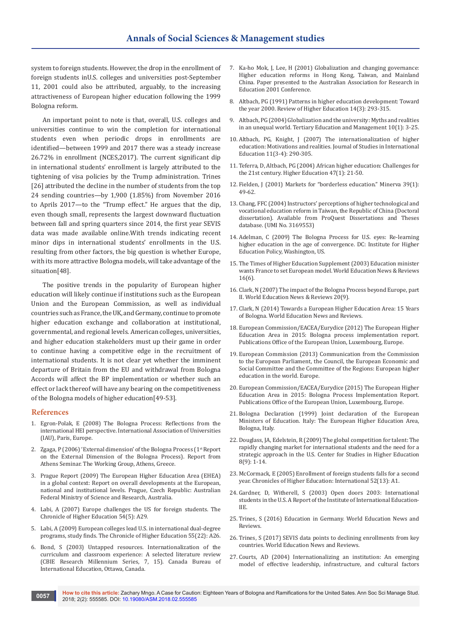system to foreign students. However, the drop in the enrollment of foreign students inU.S. colleges and universities post-September 11, 2001 could also be attributed, arguably, to the increasing attractiveness of European higher education following the 1999 Bologna reform.

An important point to note is that, overall, U.S. colleges and universities continue to win the completion for international students even when periodic drops in enrollments are identified—between 1999 and 2017 there was a steady increase 26.72% in enrollment (NCES,2017). The current significant dip in international students' enrollment is largely attributed to the tightening of visa policies by the Trump administration. Trines [26] attributed the decline in the number of students from the top 24 sending countries—by 1,900 (1.85%) from November 2016 to Aprils 2017—to the "Trump effect." He argues that the dip, even though small, represents the largest downward fluctuation between fall and spring quarters since 2014, the first year SEVIS data was made available online.With trends indicating recent minor dips in international students' enrollments in the U.S. resulting from other factors, the big question is whether Europe, with its more attractive Bologna models, will take advantage of the situation[48].

The positive trends in the popularity of European higher education will likely continue if institutions such as the European Union and the European Commission, as well as individual countries such as France, the UK, and Germany, continue to promote higher education exchange and collaboration at institutional, governmental, and regional levels. American colleges, universities, and higher education stakeholders must up their game in order to continue having a competitive edge in the recruitment of international students. It is not clear yet whether the imminent departure of Britain from the EU and withdrawal from Bologna Accords will affect the BP implementation or whether such an effect or lack thereof will have any bearing on the competitiveness of the Bologna models of higher education[49-53].

### **References**

- 1. Egron-Polak, E (2008) The Bologna Process: Reflections from the international HEI perspective. International Association of Universities (IAU), Paris, Europe.
- 2. Zgaga, P (2006) 'External dimension' of the Bologna Process (1st Report on the External Dimension of the Bologna Process). Report from Athens Seminar. The Working Group, Athens, Greece.
- 3. Prague Report (2009) The European Higher Education Area (EHEA) in a global context: Report on overall developments at the European, national and institutional levels. Prague, Czech Republic: Australian Federal Ministry of Science and Research, Australia.
- 4. Labi, A (2007) Europe challenges the US for foreign students. The Chronicle of Higher Education 54(5): A29.
- 5. Labi, A (2009) European colleges lead U.S. in international dual-degree programs, study finds. The Chronicle of Higher Education 55(22): A26.
- 6. Bond, S (2003) Untapped resources. Internationalization of the curriculum and classroom experience: A selected literature review (CBIE Research Millennium Series, 7, 15). Canada Bureau of International Education, Ottawa, Canada.
- 7. Ka-ho Mok, J, Lee, H (2001) Globalization and changing governance: Higher education reforms in Hong Kong, Taiwan, and Mainland China. Paper presented to the Australian Association for Research in Education 2001 Conference.
- 8. [Altbach, PG \(1991\) Patterns in higher education development: Toward](https://muse.jhu.edu/article/645059/pdf)  [the year 2000. Review of Higher Education 14\(3\): 293-315.](https://muse.jhu.edu/article/645059/pdf)
- 9. [Altbach, PG \(2004\) Globalization and the university: Myths and realities](https://link.springer.com/article/10.1023/B:TEAM.0000012239.55136.4b)  [in an unequal world. Tertiary Education and Management 10\(1\): 3-25.](https://link.springer.com/article/10.1023/B:TEAM.0000012239.55136.4b)
- 10. [Altbach, PG, Knight, J \(2007\) The internationalization of higher](http://journals.sagepub.com/doi/10.1177/1028315307303542)  [education: Motivations and realities. Journal of Studies in International](http://journals.sagepub.com/doi/10.1177/1028315307303542)  [Education 11\(3-4\): 290-305.](http://journals.sagepub.com/doi/10.1177/1028315307303542)
- 11. Teferra, D, Altbach, PG (2004) African higher education: Challenges for the 21st century. Higher Education 47(1): 21-50.
- 12. Fielden, J (2001) Markets for "borderless education." Minerva 39(1): 49-62.
- 13. Chang, FFC (2004) Instructors' perceptions of higher technological and vocational education reform in Taiwan, the Republic of China (Doctoral dissertation). Available from ProQuest Dissertations and Theses database. (UMI No. 3169553)
- 14. Adelman, C (2009) The Bologna Process for U.S. eyes: Re-learning higher education in the age of convergence. DC: Institute for Higher Education Policy, Washington, US.
- 15. The Times of Higher Education Supplement (2003) Education minister wants France to set European model. World Education News & Reviews 16(6).
- 16. [Clark, N \(2007\) The impact of the Bologna Process beyond Europe, part](https://wenr.wes.org/2007/09/wenr-september-2007-feature)  [II. World Education News & Reviews 20\(9\).](https://wenr.wes.org/2007/09/wenr-september-2007-feature)
- 17. Clark, N (2014) Towards a European Higher Education Area: 15 Years of Bologna. World Education News and Reviews.
- 18. European Commission/EACEA/Eurydice (2012) The European Higher Education Area in 2015: Bologna process implementation report. Publications Office of the European Union, Luxembourg, Europe.
- 19. European Commission (2013) Communication from the Commission to the European Parliament, the Council, the European Economic and Social Committee and the Committee of the Regions: European higher education in the world. Europe.
- 20. European Commission/EACEA/Eurydice (2015) The European Higher Education Area in 2015: Bologna Process Implementation Report. Publications Office of the European Union, Luxembourg, Europe.
- 21. Bologna Declaration (1999) Joint declaration of the European Ministers of Education. Italy: The European Higher Education Area, Bologna, Italy.
- 22. [Douglass, JA, Edelstein, R \(2009\) The global competition for talent: The](https://cshe.berkeley.edu/publications/global-competition-talent-rapidly-changing-market-internationalstudents-and-need)  [rapidly changing market for international students and the need for a](https://cshe.berkeley.edu/publications/global-competition-talent-rapidly-changing-market-internationalstudents-and-need)  [strategic approach in the U.S. Center for Studies in Higher Education](https://cshe.berkeley.edu/publications/global-competition-talent-rapidly-changing-market-internationalstudents-and-need)  [8\(9\): 1-14.](https://cshe.berkeley.edu/publications/global-competition-talent-rapidly-changing-market-internationalstudents-and-need)
- 23. McCormack, E (2005) Enrollment of foreign students falls for a second year. Chronicles of Higher Education: International 52(13): A1.
- 24. Gardner, D, Witherell, S (2003) Open doors 2003: International students in the U.S. A Report of the Institute of International Education-IIE.
- 25. Trines, S (2016) Education in Germany. World Education News and Reviews.
- 26. Trines, S (2017) SEVIS data points to declining enrollments from key countries. World Education News and Reviews.
- 27. Courts, AD (2004) Internationalizing an institution: An emerging model of effective leadership, infrastructure, and cultural factors